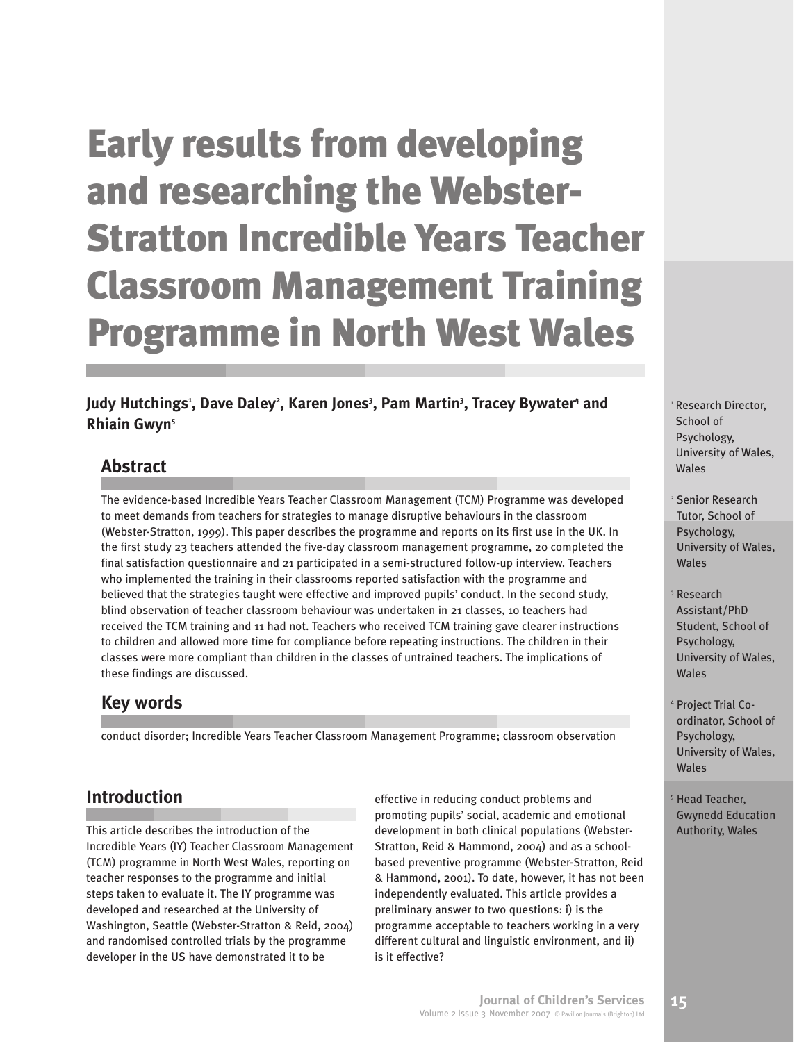Judy Hutchings<sup>1</sup>, Dave Daley<sup>2</sup>, Karen Jones<sup>3</sup>, Pam Martin<sup>3</sup>, Tracey Bywater<sup>4</sup> and **Rhiain Gwyn5**

# **Abstract**

The evidence-based Incredible Years Teacher Classroom Management (TCM) Programme was developed to meet demands from teachers for strategies to manage disruptive behaviours in the classroom (Webster-Stratton, 1999). This paper describes the programme and reports on its first use in the UK. In the first study 23 teachers attended the five-day classroom management programme, 20 completed the final satisfaction questionnaire and 21 participated in a semi-structured follow-up interview. Teachers who implemented the training in their classrooms reported satisfaction with the programme and believed that the strategies taught were effective and improved pupils' conduct. In the second study, blind observation of teacher classroom behaviour was undertaken in 21 classes, 10 teachers had received the TCM training and 11 had not. Teachers who received TCM training gave clearer instructions to children and allowed more time for compliance before repeating instructions. The children in their classes were more compliant than children in the classes of untrained teachers. The implications of these findings are discussed.

# **Key words**

conduct disorder; Incredible Years Teacher Classroom Management Programme; classroom observation

# **Introduction**

This article describes the introduction of the Incredible Years (IY) Teacher Classroom Management (TCM) programme in North West Wales, reporting on teacher responses to the programme and initial steps taken to evaluate it. The IY programme was developed and researched at the University of Washington, Seattle (Webster-Stratton & Reid, 2004) and randomised controlled trials by the programme developer in the US have demonstrated it to be

effective in reducing conduct problems and promoting pupils' social, academic and emotional development in both clinical populations (Webster-Stratton, Reid & Hammond, 2004) and as a schoolbased preventive programme (Webster-Stratton, Reid & Hammond, 2001). To date, however, it has not been independently evaluated. This article provides a preliminary answer to two questions: i) is the programme acceptable to teachers working in a very different cultural and linguistic environment, and ii) is it effective?

<sup>1</sup> Research Director, School of Psychology, University of Wales, Wales

<sup>2</sup> Senior Research Tutor, School of Psychology, University of Wales, Wales

- <sup>3</sup> Research Assistant/PhD Student, School of Psychology, University of Wales, Wales
- <sup>4</sup> Project Trial Coordinator, School of Psychology, University of Wales, Wales
- <sup>5</sup> Head Teacher, Gwynedd Education Authority, Wales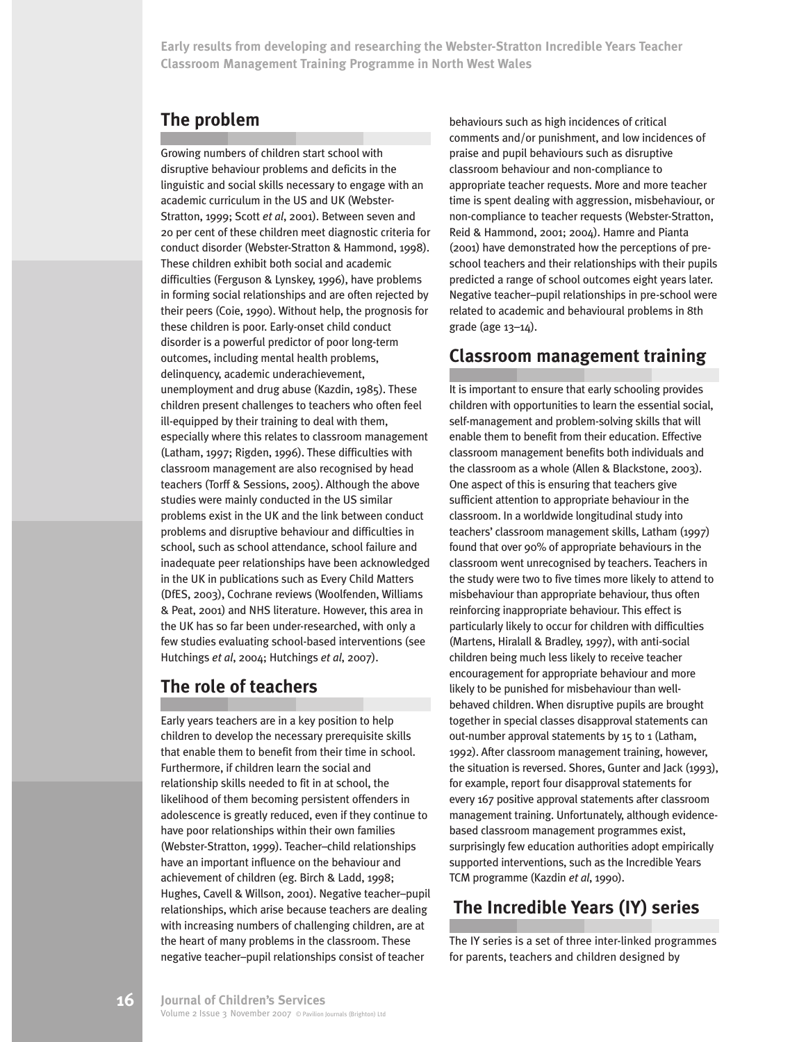# **The problem**

Growing numbers of children start school with disruptive behaviour problems and deficits in the linguistic and social skills necessary to engage with an academic curriculum in the US and UK (Webster-Stratton, 1999; Scott *et al*, 2001). Between seven and 20 per cent of these children meet diagnostic criteria for conduct disorder (Webster-Stratton & Hammond, 1998). These children exhibit both social and academic difficulties (Ferguson & Lynskey, 1996), have problems in forming social relationships and are often rejected by their peers (Coie, 1990). Without help, the prognosis for these children is poor. Early-onset child conduct disorder is a powerful predictor of poor long-term outcomes, including mental health problems, delinquency, academic underachievement, unemployment and drug abuse (Kazdin, 1985). These children present challenges to teachers who often feel ill-equipped by their training to deal with them, especially where this relates to classroom management (Latham, 1997; Rigden, 1996). These difficulties with classroom management are also recognised by head teachers (Torff & Sessions, 2005). Although the above studies were mainly conducted in the US similar problems exist in the UK and the link between conduct problems and disruptive behaviour and difficulties in school, such as school attendance, school failure and inadequate peer relationships have been acknowledged in the UK in publications such as Every Child Matters (DfES, 2003), Cochrane reviews (Woolfenden, Williams & Peat, 2001) and NHS literature. However, this area in the UK has so far been under-researched, with only a few studies evaluating school-based interventions (see Hutchings *et al*, 2004; Hutchings *et al*, 2007).

# **The role of teachers**

Early years teachers are in a key position to help children to develop the necessary prerequisite skills that enable them to benefit from their time in school. Furthermore, if children learn the social and relationship skills needed to fit in at school, the likelihood of them becoming persistent offenders in adolescence is greatly reduced, even if they continue to have poor relationships within their own families (Webster-Stratton, 1999). Teacher–child relationships have an important influence on the behaviour and achievement of children (eg. Birch & Ladd, 1998; Hughes, Cavell & Willson, 2001). Negative teacher–pupil relationships, which arise because teachers are dealing with increasing numbers of challenging children, are at the heart of many problems in the classroom. These negative teacher–pupil relationships consist of teacher

behaviours such as high incidences of critical comments and/or punishment, and low incidences of praise and pupil behaviours such as disruptive classroom behaviour and non-compliance to appropriate teacher requests. More and more teacher time is spent dealing with aggression, misbehaviour, or non-compliance to teacher requests (Webster-Stratton, Reid & Hammond, 2001; 2004). Hamre and Pianta (2001) have demonstrated how the perceptions of preschool teachers and their relationships with their pupils predicted a range of school outcomes eight years later. Negative teacher–pupil relationships in pre-school were related to academic and behavioural problems in 8th grade (age 13–14).

# **Classroom management training**

It is important to ensure that early schooling provides children with opportunities to learn the essential social, self-management and problem-solving skills that will enable them to benefit from their education. Effective classroom management benefits both individuals and the classroom as a whole (Allen & Blackstone, 2003). One aspect of this is ensuring that teachers give sufficient attention to appropriate behaviour in the classroom. In a worldwide longitudinal study into teachers' classroom management skills, Latham (1997) found that over 90% of appropriate behaviours in the classroom went unrecognised by teachers. Teachers in the study were two to five times more likely to attend to misbehaviour than appropriate behaviour, thus often reinforcing inappropriate behaviour. This effect is particularly likely to occur for children with difficulties (Martens, Hiralall & Bradley, 1997), with anti-social children being much less likely to receive teacher encouragement for appropriate behaviour and more likely to be punished for misbehaviour than wellbehaved children. When disruptive pupils are brought together in special classes disapproval statements can out-number approval statements by 15 to 1 (Latham, 1992). After classroom management training, however, the situation is reversed. Shores, Gunter and Jack (1993), for example, report four disapproval statements for every 167 positive approval statements after classroom management training. Unfortunately, although evidencebased classroom management programmes exist, surprisingly few education authorities adopt empirically supported interventions, such as the Incredible Years TCM programme (Kazdin *et al*, 1990).

# **The Incredible Years (IY) series**

The IY series is a set of three inter-linked programmes for parents, teachers and children designed by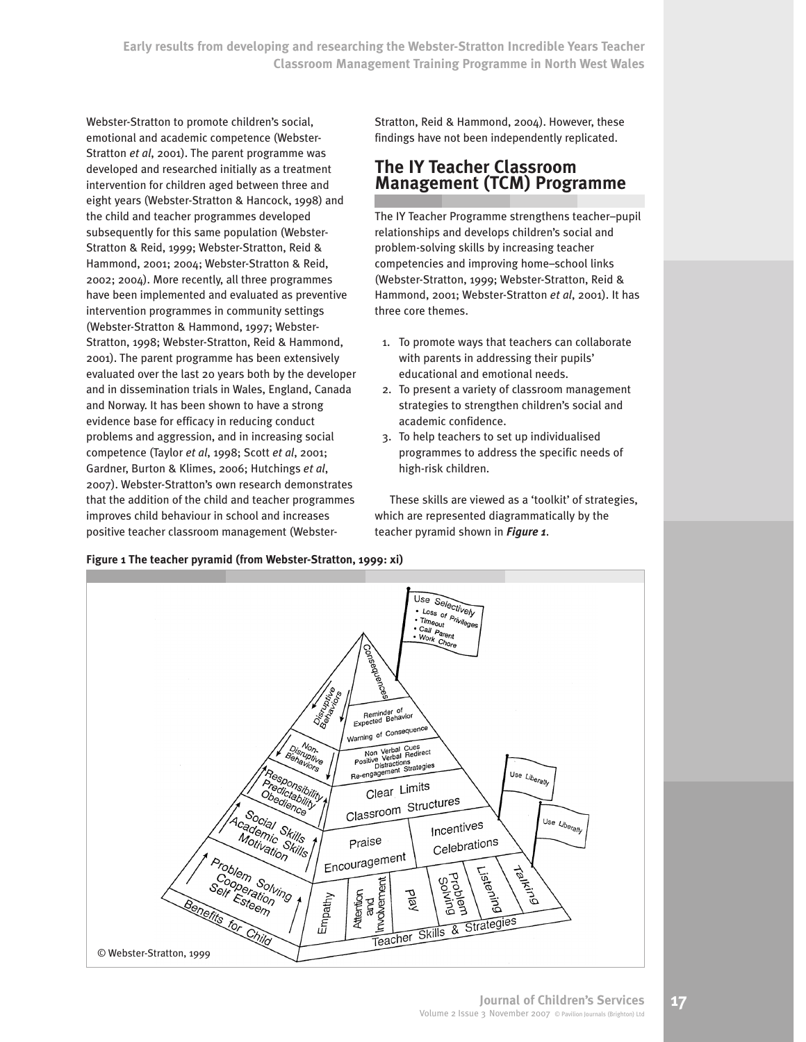Webster-Stratton to promote children's social, emotional and academic competence (Webster-Stratton *et al*, 2001). The parent programme was developed and researched initially as a treatment intervention for children aged between three and eight years (Webster-Stratton & Hancock, 1998) and the child and teacher programmes developed subsequently for this same population (Webster-Stratton & Reid, 1999; Webster-Stratton, Reid & Hammond, 2001; 2004; Webster-Stratton & Reid, 2002; 2004). More recently, all three programmes have been implemented and evaluated as preventive intervention programmes in community settings (Webster-Stratton & Hammond, 1997; Webster-Stratton, 1998; Webster-Stratton, Reid & Hammond, 2001). The parent programme has been extensively evaluated over the last 20 years both by the developer and in dissemination trials in Wales, England, Canada and Norway. It has been shown to have a strong evidence base for efficacy in reducing conduct problems and aggression, and in increasing social competence (Taylor *et al*, 1998; Scott *et al*, 2001; Gardner, Burton & Klimes, 2006; Hutchings *et al*, 2007). Webster-Stratton's own research demonstrates that the addition of the child and teacher programmes improves child behaviour in school and increases positive teacher classroom management (WebsterStratton, Reid & Hammond, 2004). However, these findings have not been independently replicated.

# **The IY Teacher Classroom Management (TCM) Programme**

The IY Teacher Programme strengthens teacher–pupil relationships and develops children's social and problem-solving skills by increasing teacher competencies and improving home–school links (Webster-Stratton, 1999; Webster-Stratton, Reid & Hammond, 2001; Webster-Stratton *et al*, 2001). It has three core themes.

- 1. To promote ways that teachers can collaborate with parents in addressing their pupils' educational and emotional needs.
- 2. To present a variety of classroom management strategies to strengthen children's social and academic confidence.
- 3. To help teachers to set up individualised programmes to address the specific needs of high-risk children.

These skills are viewed as a 'toolkit' of strategies, which are represented diagrammatically by the teacher pyramid shown in *Figure 1*.



#### **Figure 1 The teacher pyramid (from Webster-Stratton, 1999: xi)**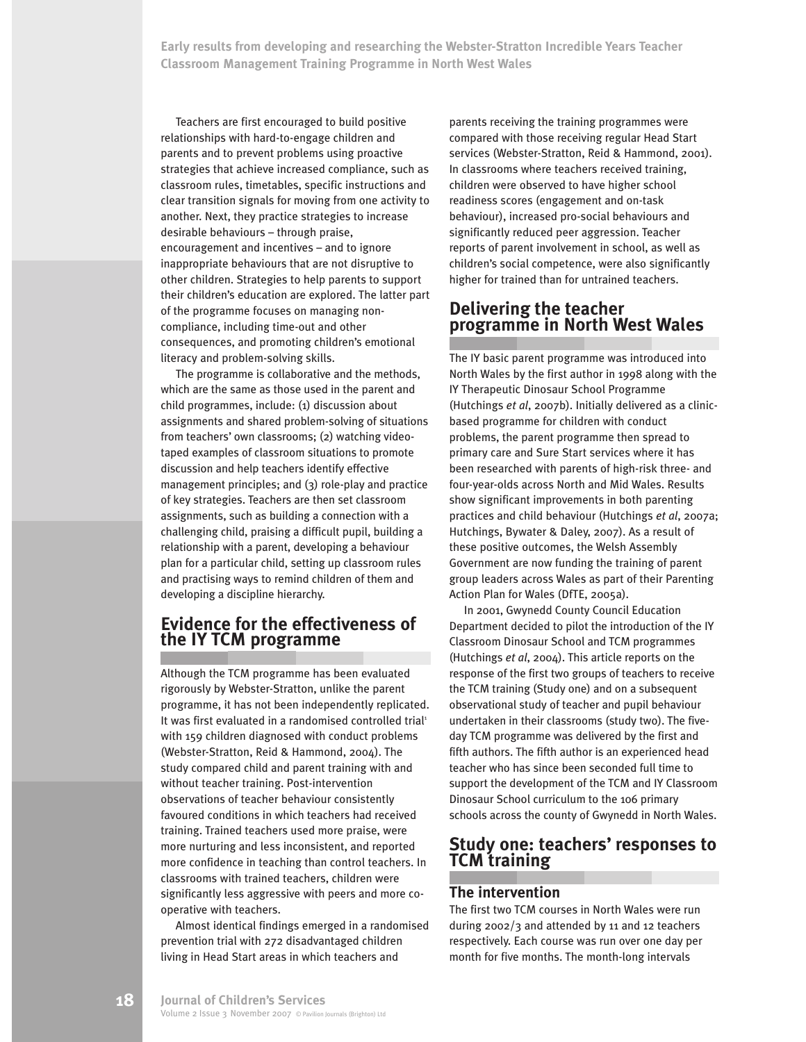Teachers are first encouraged to build positive relationships with hard-to-engage children and parents and to prevent problems using proactive strategies that achieve increased compliance, such as classroom rules, timetables, specific instructions and clear transition signals for moving from one activity to another. Next, they practice strategies to increase desirable behaviours – through praise, encouragement and incentives – and to ignore inappropriate behaviours that are not disruptive to other children. Strategies to help parents to support their children's education are explored. The latter part of the programme focuses on managing noncompliance, including time-out and other consequences, and promoting children's emotional literacy and problem-solving skills.

The programme is collaborative and the methods, which are the same as those used in the parent and child programmes, include: (1) discussion about assignments and shared problem-solving of situations from teachers' own classrooms; (2) watching videotaped examples of classroom situations to promote discussion and help teachers identify effective management principles; and (3) role-play and practice of key strategies. Teachers are then set classroom assignments, such as building a connection with a challenging child, praising a difficult pupil, building a relationship with a parent, developing a behaviour plan for a particular child, setting up classroom rules and practising ways to remind children of them and developing a discipline hierarchy.

### **Evidence for the effectiveness of the IY TCM programme**

Although the TCM programme has been evaluated rigorously by Webster-Stratton, unlike the parent programme, it has not been independently replicated. It was first evaluated in a randomised controlled trial<sup>1</sup> with 159 children diagnosed with conduct problems (Webster-Stratton, Reid & Hammond, 2004). The study compared child and parent training with and without teacher training. Post-intervention observations of teacher behaviour consistently favoured conditions in which teachers had received training. Trained teachers used more praise, were more nurturing and less inconsistent, and reported more confidence in teaching than control teachers. In classrooms with trained teachers, children were significantly less aggressive with peers and more cooperative with teachers.

Almost identical findings emerged in a randomised prevention trial with 272 disadvantaged children living in Head Start areas in which teachers and

parents receiving the training programmes were compared with those receiving regular Head Start services (Webster-Stratton, Reid & Hammond, 2001). In classrooms where teachers received training, children were observed to have higher school readiness scores (engagement and on-task behaviour), increased pro-social behaviours and significantly reduced peer aggression. Teacher reports of parent involvement in school, as well as children's social competence, were also significantly higher for trained than for untrained teachers.

# **Delivering the teacher programme in North West Wales**

The IY basic parent programme was introduced into North Wales by the first author in 1998 along with the IY Therapeutic Dinosaur School Programme (Hutchings *et al*, 2007b). Initially delivered as a clinicbased programme for children with conduct problems, the parent programme then spread to primary care and Sure Start services where it has been researched with parents of high-risk three- and four-year-olds across North and Mid Wales. Results show significant improvements in both parenting practices and child behaviour (Hutchings *et al*, 2007a; Hutchings, Bywater & Daley, 2007). As a result of these positive outcomes, the Welsh Assembly Government are now funding the training of parent group leaders across Wales as part of their Parenting Action Plan for Wales (DfTE, 2005a).

In 2001, Gwynedd County Council Education Department decided to pilot the introduction of the IY Classroom Dinosaur School and TCM programmes (Hutchings *et al*, 2004). This article reports on the response of the first two groups of teachers to receive the TCM training (Study one) and on a subsequent observational study of teacher and pupil behaviour undertaken in their classrooms (study two). The fiveday TCM programme was delivered by the first and fifth authors. The fifth author is an experienced head teacher who has since been seconded full time to support the development of the TCM and IY Classroom Dinosaur School curriculum to the 106 primary schools across the county of Gwynedd in North Wales.

# **Study one: teachers' responses to TCM training**

#### **The intervention**

The first two TCM courses in North Wales were run during 2002/3 and attended by 11 and 12 teachers respectively. Each course was run over one day per month for five months. The month-long intervals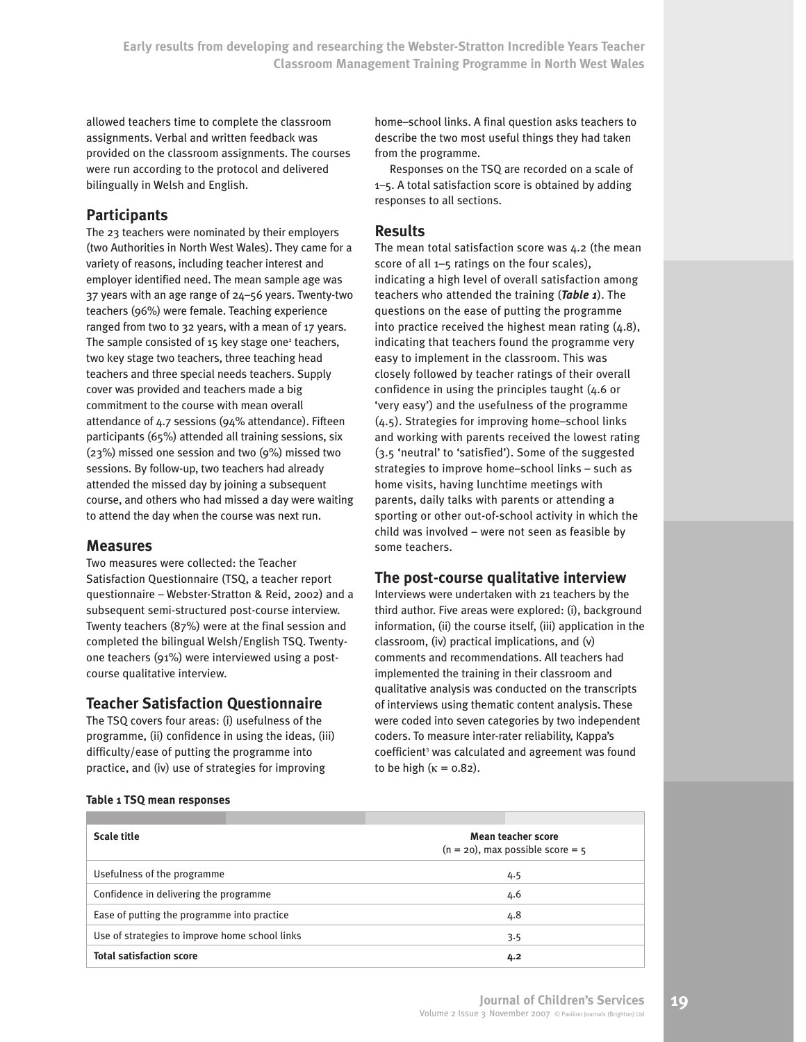allowed teachers time to complete the classroom assignments. Verbal and written feedback was provided on the classroom assignments. The courses were run according to the protocol and delivered bilingually in Welsh and English.

#### **Participants**

The 23 teachers were nominated by their employers (two Authorities in North West Wales). They came for a variety of reasons, including teacher interest and employer identified need. The mean sample age was 37 years with an age range of 24–56 years. Twenty-two teachers (96%) were female. Teaching experience ranged from two to 32 years, with a mean of 17 years. The sample consisted of  $15$  key stage one<sup>2</sup> teachers, two key stage two teachers, three teaching head teachers and three special needs teachers. Supply cover was provided and teachers made a big commitment to the course with mean overall attendance of 4.7 sessions (94% attendance). Fifteen participants (65%) attended all training sessions, six (23%) missed one session and two (9%) missed two sessions. By follow-up, two teachers had already attended the missed day by joining a subsequent course, and others who had missed a day were waiting to attend the day when the course was next run.

#### **Measures**

Two measures were collected: the Teacher Satisfaction Questionnaire (TSQ, a teacher report questionnaire – Webster-Stratton & Reid, 2002) and a subsequent semi-structured post-course interview. Twenty teachers (87%) were at the final session and completed the bilingual Welsh/English TSQ. Twentyone teachers (91%) were interviewed using a postcourse qualitative interview.

#### **Teacher Satisfaction Questionnaire**

The TSQ covers four areas: (i) usefulness of the programme, (ii) confidence in using the ideas, (iii) difficulty/ease of putting the programme into practice, and (iv) use of strategies for improving

home–school links. A final question asks teachers to describe the two most useful things they had taken from the programme.

Responses on the TSQ are recorded on a scale of 1–5. A total satisfaction score is obtained by adding responses to all sections.

#### **Results**

The mean total satisfaction score was 4.2 (the mean score of all 1–5 ratings on the four scales), indicating a high level of overall satisfaction among teachers who attended the training (*Table 1*). The questions on the ease of putting the programme into practice received the highest mean rating (4.8), indicating that teachers found the programme very easy to implement in the classroom. This was closely followed by teacher ratings of their overall confidence in using the principles taught (4.6 or 'very easy') and the usefulness of the programme (4.5). Strategies for improving home–school links and working with parents received the lowest rating (3.5 'neutral' to 'satisfied'). Some of the suggested strategies to improve home–school links – such as home visits, having lunchtime meetings with parents, daily talks with parents or attending a sporting or other out-of-school activity in which the child was involved – were not seen as feasible by some teachers.

#### **The post-course qualitative interview**

Interviews were undertaken with 21 teachers by the third author. Five areas were explored: (i), background information, (ii) the course itself, (iii) application in the classroom, (iv) practical implications, and (v) comments and recommendations. All teachers had implemented the training in their classroom and qualitative analysis was conducted on the transcripts of interviews using thematic content analysis. These were coded into seven categories by two independent coders. To measure inter-rater reliability, Kappa's coefficient <sup>3</sup> was calculated and agreement was found to be high ( $\kappa = 0.82$ ).

| <b>Scale title</b>                             | Mean teacher score<br>$(n = 20)$ , max possible score = 5 |  |  |
|------------------------------------------------|-----------------------------------------------------------|--|--|
| Usefulness of the programme                    | 4.5                                                       |  |  |
| Confidence in delivering the programme         | 4.6                                                       |  |  |
| Ease of putting the programme into practice    | 4.8                                                       |  |  |
| Use of strategies to improve home school links | 3.5                                                       |  |  |
| <b>Total satisfaction score</b>                | 4.2                                                       |  |  |

#### **Table 1 TSQ mean responses**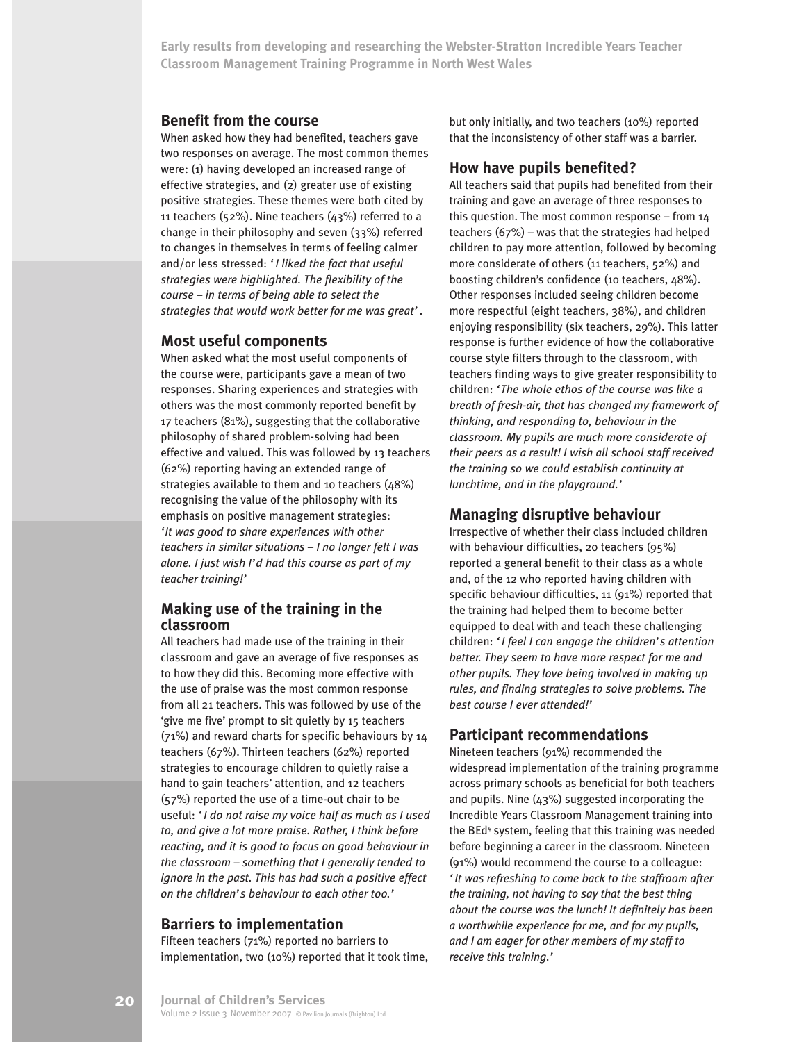#### **Benefit from the course**

When asked how they had benefited, teachers gave two responses on average. The most common themes were: (1) having developed an increased range of effective strategies, and (2) greater use of existing positive strategies. These themes were both cited by 11 teachers (52%). Nine teachers (43%) referred to a change in their philosophy and seven (33%) referred to changes in themselves in terms of feeling calmer and/or less stressed: *'I liked the fact that useful strategies were highlighted. The flexibility of the course – in terms of being able to select the strategies that would work better for me was great'*.

#### **Most useful components**

When asked what the most useful components of the course were, participants gave a mean of two responses. Sharing experiences and strategies with others was the most commonly reported benefit by 17 teachers (81%), suggesting that the collaborative philosophy of shared problem-solving had been effective and valued. This was followed by 13 teachers (62%) reporting having an extended range of strategies available to them and 10 teachers (48%) recognising the value of the philosophy with its emphasis on positive management strategies: *'It was good to share experiences with other teachers in similar situations – I no longer felt I was alone. I just wish I'd had this course as part of my teacher training!'*

#### **Making use of the training in the classroom**

All teachers had made use of the training in their classroom and gave an average of five responses as to how they did this. Becoming more effective with the use of praise was the most common response from all 21 teachers. This was followed by use of the 'give me five' prompt to sit quietly by 15 teachers (71%) and reward charts for specific behaviours by 14 teachers (67%). Thirteen teachers (62%) reported strategies to encourage children to quietly raise a hand to gain teachers' attention, and 12 teachers (57%) reported the use of a time-out chair to be useful: *'I do not raise my voice half as much as I used to, and give a lot more praise. Rather, I think before reacting, and it is good to focus on good behaviour in the classroom – something that I generally tended to ignore in the past. This has had such a positive effect on the children's behaviour to each other too.'*

#### **Barriers to implementation**

Fifteen teachers (71%) reported no barriers to implementation, two (10%) reported that it took time, but only initially, and two teachers (10%) reported that the inconsistency of other staff was a barrier.

#### **How have pupils benefited?**

All teachers said that pupils had benefited from their training and gave an average of three responses to this question. The most common response – from 14 teachers (67%) – was that the strategies had helped children to pay more attention, followed by becoming more considerate of others (11 teachers, 52%) and boosting children's confidence (10 teachers, 48%). Other responses included seeing children become more respectful (eight teachers, 38%), and children enjoying responsibility (six teachers, 29%). This latter response is further evidence of how the collaborative course style filters through to the classroom, with teachers finding ways to give greater responsibility to children: *'The whole ethos of the course was like a breath of fresh-air, that has changed my framework of thinking, and responding to, behaviour in the classroom. My pupils are much more considerate of their peers as a result! I wish all school staff received the training so we could establish continuity at lunchtime, and in the playground.'*

#### **Managing disruptive behaviour**

Irrespective of whether their class included children with behaviour difficulties, 20 teachers (95%) reported a general benefit to their class as a whole and, of the 12 who reported having children with specific behaviour difficulties, 11 (91%) reported that the training had helped them to become better equipped to deal with and teach these challenging children: *'I feel I can engage the children's attention better. They seem to have more respect for me and other pupils. They love being involved in making up rules, and finding strategies to solve problems. The best course I ever attended!'*

#### **Participant recommendations**

Nineteen teachers (91%) recommended the widespread implementation of the training programme across primary schools as beneficial for both teachers and pupils. Nine (43%) suggested incorporating the Incredible Years Classroom Management training into the BEd<sup>4</sup> system, feeling that this training was needed before beginning a career in the classroom. Nineteen (91%) would recommend the course to a colleague: *'It was refreshing to come back to the staffroom after the training, not having to say that the best thing about the course was the lunch! It definitely has been a worthwhile experience for me, and for my pupils, and I am eager for other members of my staff to receive this training.'*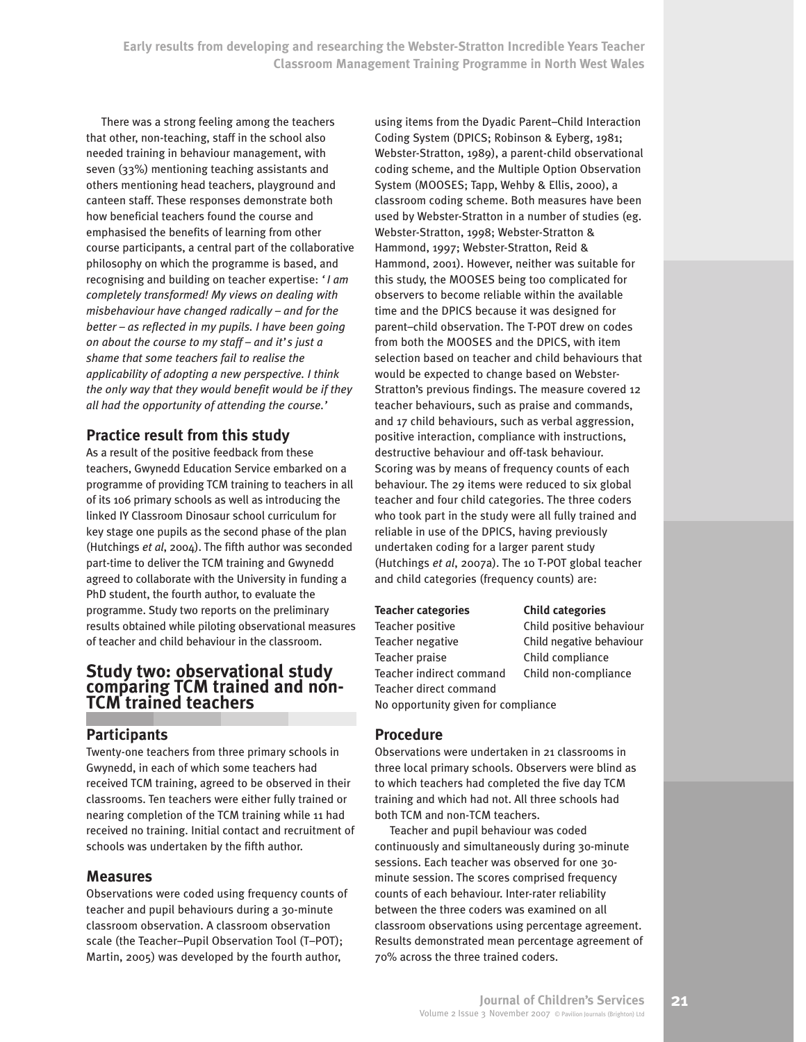There was a strong feeling among the teachers that other, non-teaching, staff in the school also needed training in behaviour management, with seven (33%) mentioning teaching assistants and others mentioning head teachers, playground and canteen staff. These responses demonstrate both how beneficial teachers found the course and emphasised the benefits of learning from other course participants, a central part of the collaborative philosophy on which the programme is based, and recognising and building on teacher expertise: *'I am completely transformed! My views on dealing with misbehaviour have changed radically – and for the better – as reflected in my pupils. I have been going on about the course to my staff – and it's just a shame that some teachers fail to realise the applicability of adopting a new perspective. I think the only way that they would benefit would be if they all had the opportunity of attending the course.'*

### **Practice result from this study**

As a result of the positive feedback from these teachers, Gwynedd Education Service embarked on a programme of providing TCM training to teachers in all of its 106 primary schools as well as introducing the linked IY Classroom Dinosaur school curriculum for key stage one pupils as the second phase of the plan (Hutchings *et al*, 2004). The fifth author was seconded part-time to deliver the TCM training and Gwynedd agreed to collaborate with the University in funding a PhD student, the fourth author, to evaluate the programme. Study two reports on the preliminary results obtained while piloting observational measures of teacher and child behaviour in the classroom.

# **Study two: observational study comparing TCM trained and non-TCM trained teachers**

#### **Participants**

Twenty-one teachers from three primary schools in Gwynedd, in each of which some teachers had received TCM training, agreed to be observed in their classrooms. Ten teachers were either fully trained or nearing completion of the TCM training while 11 had received no training. Initial contact and recruitment of schools was undertaken by the fifth author.

#### **Measures**

Observations were coded using frequency counts of teacher and pupil behaviours during a 30-minute classroom observation. A classroom observation scale (the Teacher–Pupil Observation Tool (T–POT); Martin, 2005) was developed by the fourth author,

using items from the Dyadic Parent–Child Interaction Coding System (DPICS; Robinson & Eyberg, 1981; Webster-Stratton, 1989), a parent-child observational coding scheme, and the Multiple Option Observation System (MOOSES; Tapp, Wehby & Ellis, 2000), a classroom coding scheme. Both measures have been used by Webster-Stratton in a number of studies (eg. Webster-Stratton, 1998; Webster-Stratton & Hammond, 1997; Webster-Stratton, Reid & Hammond, 2001). However, neither was suitable for this study, the MOOSES being too complicated for observers to become reliable within the available time and the DPICS because it was designed for parent–child observation. The T-POT drew on codes from both the MOOSES and the DPICS, with item selection based on teacher and child behaviours that would be expected to change based on Webster-Stratton's previous findings. The measure covered 12 teacher behaviours, such as praise and commands, and 17 child behaviours, such as verbal aggression, positive interaction, compliance with instructions, destructive behaviour and off-task behaviour. Scoring was by means of frequency counts of each behaviour. The 29 items were reduced to six global teacher and four child categories. The three coders who took part in the study were all fully trained and reliable in use of the DPICS, having previously undertaken coding for a larger parent study (Hutchings *et al*, 2007a). The 10 T-POT global teacher and child categories (frequency counts) are:

#### **Teacher categories Child categories**

Teacher positive Child positive behaviour Teacher negative Child negative behaviour Teacher praise Child compliance Teacher indirect command Child non-compliance Teacher direct command No opportunity given for compliance

#### **Procedure**

Observations were undertaken in 21 classrooms in three local primary schools. Observers were blind as to which teachers had completed the five day TCM training and which had not. All three schools had both TCM and non-TCM teachers.

Teacher and pupil behaviour was coded continuously and simultaneously during 30-minute sessions. Each teacher was observed for one 30 minute session. The scores comprised frequency counts of each behaviour. Inter-rater reliability between the three coders was examined on all classroom observations using percentage agreement. Results demonstrated mean percentage agreement of 70% across the three trained coders.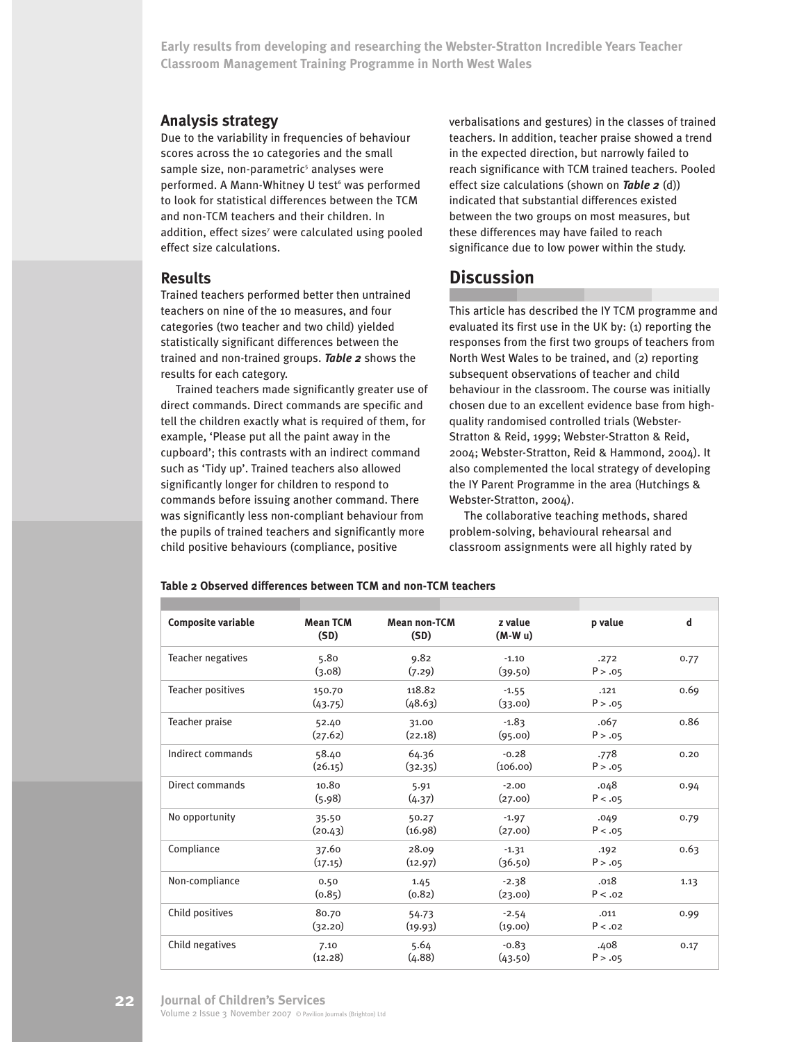#### **Analysis strategy**

Due to the variability in frequencies of behaviour scores across the 10 categories and the small sample size, non-parametric<sup>5</sup> analyses were performed. A Mann-Whitney U test <sup>6</sup> was performed to look for statistical differences between the TCM and non-TCM teachers and their children. In addition, effect sizes<sup>7</sup> were calculated using pooled effect size calculations.

#### **Results**

Trained teachers performed better then untrained teachers on nine of the 10 measures, and four categories (two teacher and two child) yielded statistically significant differences between the trained and non-trained groups. *Table 2* shows the results for each category.

Trained teachers made significantly greater use of direct commands. Direct commands are specific and tell the children exactly what is required of them, for example, 'Please put all the paint away in the cupboard'; this contrasts with an indirect command such as 'Tidy up'. Trained teachers also allowed significantly longer for children to respond to commands before issuing another command. There was significantly less non-compliant behaviour from the pupils of trained teachers and significantly more child positive behaviours (compliance, positive

verbalisations and gestures) in the classes of trained teachers. In addition, teacher praise showed a trend in the expected direction, but narrowly failed to reach significance with TCM trained teachers. Pooled effect size calculations (shown on *Table 2* (d)) indicated that substantial differences existed between the two groups on most measures, but these differences may have failed to reach significance due to low power within the study.

# **Discussion**

This article has described the IY TCM programme and evaluated its first use in the UK by: (1) reporting the responses from the first two groups of teachers from North West Wales to be trained, and (2) reporting subsequent observations of teacher and child behaviour in the classroom. The course was initially chosen due to an excellent evidence base from highquality randomised controlled trials (Webster-Stratton & Reid, 1999; Webster-Stratton & Reid, 2004; Webster-Stratton, Reid & Hammond, 2004). It also complemented the local strategy of developing the IY Parent Programme in the area (Hutchings & Webster-Stratton, 2004).

The collaborative teaching methods, shared problem-solving, behavioural rehearsal and classroom assignments were all highly rated by

#### **Table 2 Observed differences between TCM and non-TCM teachers**

| <b>Composite variable</b> | <b>Mean TCM</b><br>(SD) | <b>Mean non-TCM</b><br>(SD) | z value<br>$(M-Wu)$ | p value         | d    |
|---------------------------|-------------------------|-----------------------------|---------------------|-----------------|------|
| Teacher negatives         | 5.80<br>(3.08)          | 9.82<br>(7.29)              | $-1.10$<br>(39.50)  | .272<br>P > .05 | 0.77 |
| <b>Teacher positives</b>  | 150.70<br>(43.75)       | 118.82<br>(48.63)           | $-1.55$<br>(33.00)  | .121<br>P > .05 | 0.69 |
| Teacher praise            | 52.40<br>(27.62)        | 31.00<br>(22.18)            | $-1.83$<br>(95.00)  | .067<br>P > .05 | 0.86 |
| Indirect commands         | 58.40<br>(26.15)        | 64.36<br>(32.35)            | $-0.28$<br>(106.00) | .778<br>P > .05 | 0.20 |
| Direct commands           | 10.80<br>(5.98)         | 5.91<br>(4.37)              | $-2.00$<br>(27.00)  | .048<br>P < .05 | 0.94 |
| No opportunity            | 35.50<br>(20.43)        | 50.27<br>(16.98)            | $-1.97$<br>(27.00)  | .049<br>P < .05 | 0.79 |
| Compliance                | 37.60<br>(17.15)        | 28.09<br>(12.97)            | $-1.31$<br>(36.50)  | .192<br>P > .05 | 0.63 |
| Non-compliance            | 0.50<br>(0.85)          | 1.45<br>(0.82)              | $-2.38$<br>(23.00)  | .018<br>P < .02 | 1.13 |
| Child positives           | 80.70<br>(32.20)        | 54.73<br>(19.93)            | $-2.54$<br>(19.00)  | .011<br>P < .02 | 0.99 |
| Child negatives           | 7.10<br>(12.28)         | 5.64<br>(4.88)              | $-0.83$<br>(43.50)  | .408<br>P > .05 | 0.17 |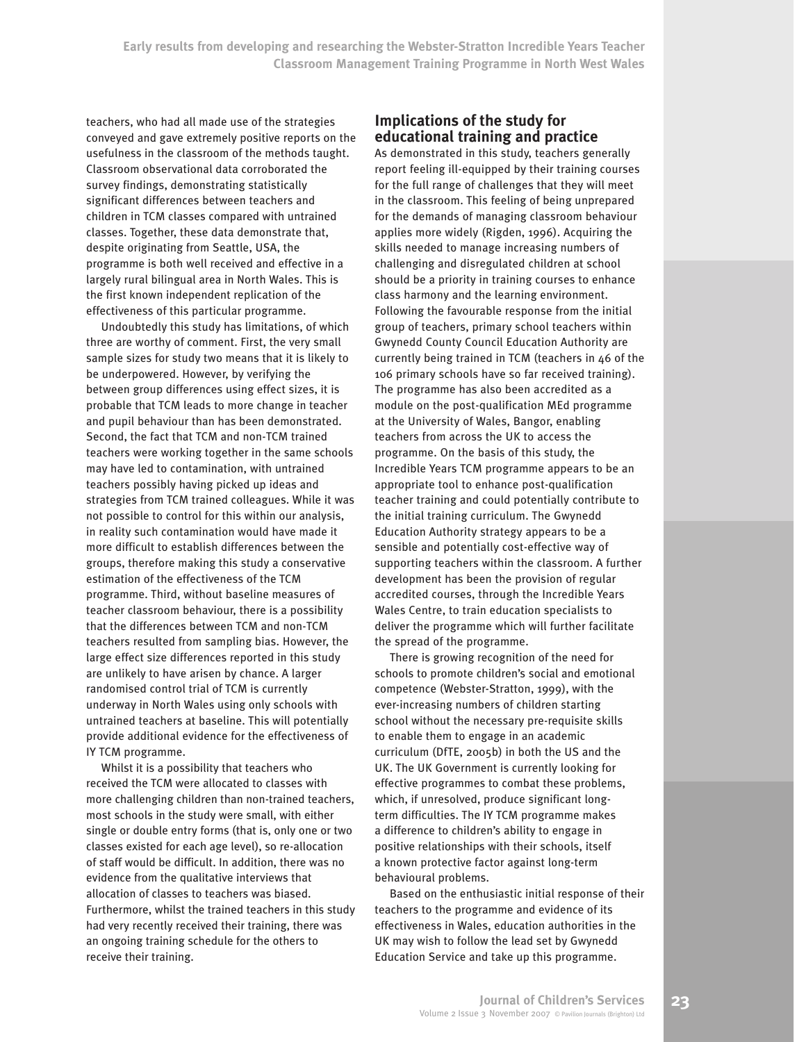teachers, who had all made use of the strategies conveyed and gave extremely positive reports on the usefulness in the classroom of the methods taught. Classroom observational data corroborated the survey findings, demonstrating statistically significant differences between teachers and children in TCM classes compared with untrained classes. Together, these data demonstrate that, despite originating from Seattle, USA, the programme is both well received and effective in a largely rural bilingual area in North Wales. This is the first known independent replication of the effectiveness of this particular programme.

Undoubtedly this study has limitations, of which three are worthy of comment. First, the very small sample sizes for study two means that it is likely to be underpowered. However, by verifying the between group differences using effect sizes, it is probable that TCM leads to more change in teacher and pupil behaviour than has been demonstrated. Second, the fact that TCM and non-TCM trained teachers were working together in the same schools may have led to contamination, with untrained teachers possibly having picked up ideas and strategies from TCM trained colleagues. While it was not possible to control for this within our analysis, in reality such contamination would have made it more difficult to establish differences between the groups, therefore making this study a conservative estimation of the effectiveness of the TCM programme. Third, without baseline measures of teacher classroom behaviour, there is a possibility that the differences between TCM and non-TCM teachers resulted from sampling bias. However, the large effect size differences reported in this study are unlikely to have arisen by chance. A larger randomised control trial of TCM is currently underway in North Wales using only schools with untrained teachers at baseline. This will potentially provide additional evidence for the effectiveness of IY TCM programme.

Whilst it is a possibility that teachers who received the TCM were allocated to classes with more challenging children than non-trained teachers, most schools in the study were small, with either single or double entry forms (that is, only one or two classes existed for each age level), so re-allocation of staff would be difficult. In addition, there was no evidence from the qualitative interviews that allocation of classes to teachers was biased. Furthermore, whilst the trained teachers in this study had very recently received their training, there was an ongoing training schedule for the others to receive their training.

#### **Implications of the study for educational training and practice**

As demonstrated in this study, teachers generally report feeling ill-equipped by their training courses for the full range of challenges that they will meet in the classroom. This feeling of being unprepared for the demands of managing classroom behaviour applies more widely (Rigden, 1996). Acquiring the skills needed to manage increasing numbers of challenging and disregulated children at school should be a priority in training courses to enhance class harmony and the learning environment. Following the favourable response from the initial group of teachers, primary school teachers within Gwynedd County Council Education Authority are currently being trained in TCM (teachers in 46 of the 106 primary schools have so far received training). The programme has also been accredited as a module on the post-qualification MEd programme at the University of Wales, Bangor, enabling teachers from across the UK to access the programme. On the basis of this study, the Incredible Years TCM programme appears to be an appropriate tool to enhance post-qualification teacher training and could potentially contribute to the initial training curriculum. The Gwynedd Education Authority strategy appears to be a sensible and potentially cost-effective way of supporting teachers within the classroom. A further development has been the provision of regular accredited courses, through the Incredible Years Wales Centre, to train education specialists to deliver the programme which will further facilitate the spread of the programme.

There is growing recognition of the need for schools to promote children's social and emotional competence (Webster-Stratton, 1999), with the ever-increasing numbers of children starting school without the necessary pre-requisite skills to enable them to engage in an academic curriculum (DfTE, 2005b) in both the US and the UK. The UK Government is currently looking for effective programmes to combat these problems, which, if unresolved, produce significant longterm difficulties. The IY TCM programme makes a difference to children's ability to engage in positive relationships with their schools, itself a known protective factor against long-term behavioural problems.

Based on the enthusiastic initial response of their teachers to the programme and evidence of its effectiveness in Wales, education authorities in the UK may wish to follow the lead set by Gwynedd Education Service and take up this programme.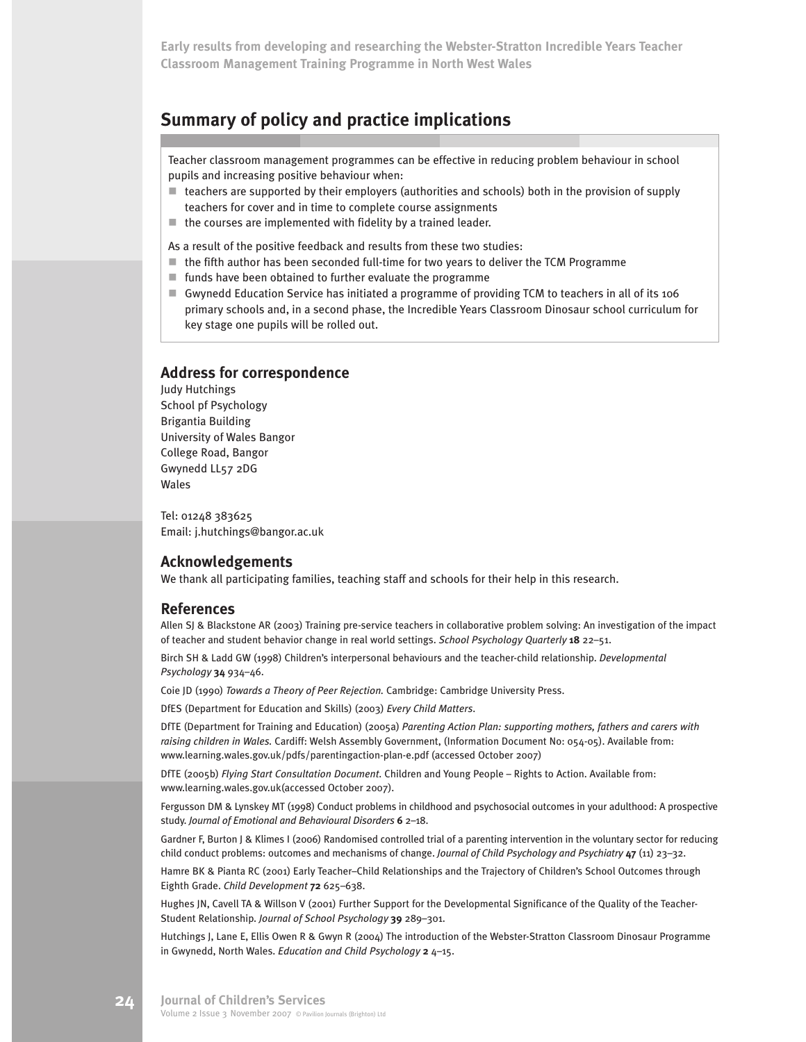# **Summary of policy and practice implications**

Teacher classroom management programmes can be effective in reducing problem behaviour in school pupils and increasing positive behaviour when:

- $\blacksquare$  teachers are supported by their employers (authorities and schools) both in the provision of supply teachers for cover and in time to complete course assignments
- $\blacksquare$  the courses are implemented with fidelity by a trained leader.

As a result of the positive feedback and results from these two studies:

- $\blacksquare$  the fifth author has been seconded full-time for two years to deliver the TCM Programme
- $\blacksquare$  funds have been obtained to further evaluate the programme
- ! Gwynedd Education Service has initiated a programme of providing TCM to teachers in all of its 106 primary schools and, in a second phase, the Incredible Years Classroom Dinosaur school curriculum for key stage one pupils will be rolled out.

#### **Address for correspondence**

Judy Hutchings School pf Psychology Brigantia Building University of Wales Bangor College Road, Bangor Gwynedd LL57 2DG Wales

Tel: 01248 383625 Email: j.hutchings@bangor.ac.uk

#### **Acknowledgements**

We thank all participating families, teaching staff and schools for their help in this research.

#### **References**

Allen SJ & Blackstone AR (2003) Training pre-service teachers in collaborative problem solving: An investigation of the impact of teacher and student behavior change in real world settings. *School Psychology Quarterly* **18** 22–51.

Birch SH & Ladd GW (1998) Children's interpersonal behaviours and the teacher-child relationship. *Developmental Psychology* **34** 934–46.

Coie JD (1990) *Towards a Theory of Peer Rejection.* Cambridge: Cambridge University Press.

DfES (Department for Education and Skills) (2003) *Every Child Matters*.

DfTE (Department for Training and Education) (2005a) *Parenting Action Plan: supporting mothers, fathers and carers with raising children in Wales.* Cardiff: Welsh Assembly Government, (Information Document No: 054-05). Available from: www.learning.wales.gov.uk/pdfs/parentingaction-plan-e.pdf (accessed October 2007)

DfTE (2005b) *Flying Start Consultation Document.* Children and Young People – Rights to Action. Available from: www.learning.wales.gov.uk(accessed October 2007).

Fergusson DM & Lynskey MT (1998) Conduct problems in childhood and psychosocial outcomes in your adulthood: A prospective study. *Journal of Emotional and Behavioural Disorders* **6** 2–18.

Gardner F, Burton J & Klimes I (2006) Randomised controlled trial of a parenting intervention in the voluntary sector for reducing child conduct problems: outcomes and mechanisms of change. *Journal of Child Psychology and Psychiatry* **47** (11) 23–32.

Hamre BK & Pianta RC (2001) Early Teacher–Child Relationships and the Trajectory of Children's School Outcomes through Eighth Grade. *Child Development* **72** 625–638.

Hughes JN, Cavell TA & Willson V (2001) Further Support for the Developmental Significance of the Quality of the Teacher-Student Relationship. *Journal of School Psychology* **39** 289–301.

Hutchings J, Lane E, Ellis Owen R & Gwyn R (2004) The introduction of the Webster-Stratton Classroom Dinosaur Programme in Gwynedd, North Wales. *Education and Child Psychology* **2** 4–15.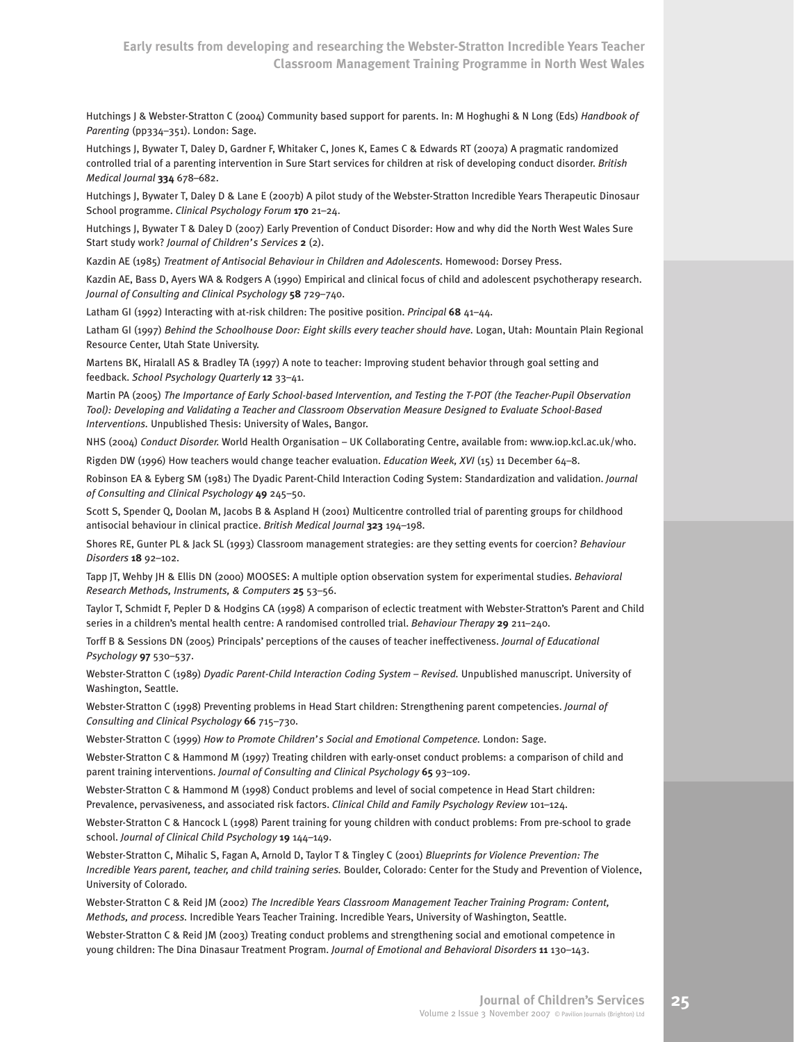Hutchings J & Webster-Stratton C (2004) Community based support for parents. In: M Hoghughi & N Long (Eds) *Handbook of Parenting* (pp334–351). London: Sage.

Hutchings J, Bywater T, Daley D, Gardner F, Whitaker C, Jones K, Eames C & Edwards RT (2007a) A pragmatic randomized controlled trial of a parenting intervention in Sure Start services for children at risk of developing conduct disorder. *British Medical Journal* **334** 678–682.

Hutchings J, Bywater T, Daley D & Lane E (2007b) A pilot study of the Webster-Stratton Incredible Years Therapeutic Dinosaur School programme. *Clinical Psychology Forum* **170** 21–24.

Hutchings J, Bywater T & Daley D (2007) Early Prevention of Conduct Disorder: How and why did the North West Wales Sure Start study work? *Journal of Children's Services* **2** (2).

Kazdin AE (1985) *Treatment of Antisocial Behaviour in Children and Adolescents.* Homewood: Dorsey Press.

Kazdin AE, Bass D, Ayers WA & Rodgers A (1990) Empirical and clinical focus of child and adolescent psychotherapy research. *Journal of Consulting and Clinical Psychology* **58** 729–740.

Latham GI (1992) Interacting with at-risk children: The positive position. *Principal* **68** 41–44.

Latham GI (1997) *Behind the Schoolhouse Door: Eight skills every teacher should have.* Logan, Utah: Mountain Plain Regional Resource Center, Utah State University.

Martens BK, Hiralall AS & Bradley TA (1997) A note to teacher: Improving student behavior through goal setting and feedback. *School Psychology Quarterly* **12** 33–41.

Martin PA (2005) *The Importance of Early School-based Intervention, and Testing the T-POT (the Teacher-Pupil Observation Tool): Developing and Validating a Teacher and Classroom Observation Measure Designed to Evaluate School-Based Interventions.* Unpublished Thesis: University of Wales, Bangor.

NHS (2004) *Conduct Disorder.* World Health Organisation – UK Collaborating Centre, available from: www.iop.kcl.ac.uk/who.

Rigden DW (1996) How teachers would change teacher evaluation. *Education Week, XVI* (15) 11 December 64–8.

Robinson EA & Eyberg SM (1981) The Dyadic Parent-Child Interaction Coding System: Standardization and validation. *Journal of Consulting and Clinical Psychology* **49** 245–50.

Scott S, Spender Q, Doolan M, Jacobs B & Aspland H (2001) Multicentre controlled trial of parenting groups for childhood antisocial behaviour in clinical practice. *British Medical Journal* **323** 194–198.

Shores RE, Gunter PL & Jack SL (1993) Classroom management strategies: are they setting events for coercion? *Behaviour Disorders* **18** 92–102.

Tapp JT, Wehby JH & Ellis DN (2000) MOOSES: A multiple option observation system for experimental studies. *Behavioral Research Methods, Instruments, & Computers* **25** 53–56.

Taylor T, Schmidt F, Pepler D & Hodgins CA (1998) A comparison of eclectic treatment with Webster-Stratton's Parent and Child series in a children's mental health centre: A randomised controlled trial. *Behaviour Therapy* **29** 211–240.

Torff B & Sessions DN (2005) Principals' perceptions of the causes of teacher ineffectiveness. *Journal of Educational Psychology* **97** 530–537.

Webster-Stratton C (1989) *Dyadic Parent-Child Interaction Coding System – Revised.* Unpublished manuscript. University of Washington, Seattle.

Webster-Stratton C (1998) Preventing problems in Head Start children: Strengthening parent competencies. *Journal of Consulting and Clinical Psychology* **66** 715–730.

Webster-Stratton C (1999) *How to Promote Children's Social and Emotional Competence.* London: Sage.

Webster-Stratton C & Hammond M (1997) Treating children with early-onset conduct problems: a comparison of child and parent training interventions. *Journal of Consulting and Clinical Psychology* **65** 93–109.

Webster-Stratton C & Hammond M (1998) Conduct problems and level of social competence in Head Start children: Prevalence, pervasiveness, and associated risk factors. *Clinical Child and Family Psychology Review* 101–124.

Webster-Stratton C & Hancock L (1998) Parent training for young children with conduct problems: From pre-school to grade school. *Journal of Clinical Child Psychology* **19** 144–149.

Webster-Stratton C, Mihalic S, Fagan A, Arnold D, Taylor T & Tingley C (2001) *Blueprints for Violence Prevention: The Incredible Years parent, teacher, and child training series.* Boulder, Colorado: Center for the Study and Prevention of Violence, University of Colorado.

Webster-Stratton C & Reid JM (2002) *The Incredible Years Classroom Management Teacher Training Program: Content, Methods, and process.* Incredible Years Teacher Training. Incredible Years, University of Washington, Seattle.

Webster-Stratton C & Reid JM (2003) Treating conduct problems and strengthening social and emotional competence in young children: The Dina Dinasaur Treatment Program. *Journal of Emotional and Behavioral Disorders* **11** 130–143.